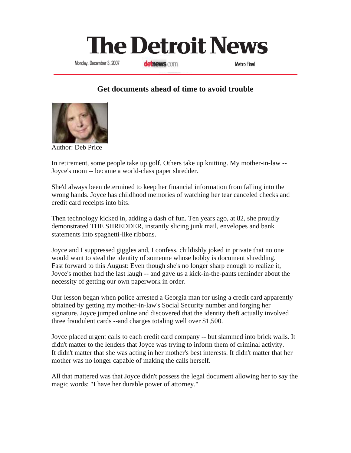## **The Detroit News**

Monday, December 3, 2007

detnews.com

Metro Final

## **Get documents ahead of time to avoid trouble**



Author: Deb Price

In retirement, some people take up golf. Others take up knitting. My mother-in-law -- Joyce's mom -- became a world-class paper shredder.

She'd always been determined to keep her financial information from falling into the wrong hands. Joyce has childhood memories of watching her tear canceled checks and credit card receipts into bits.

Then technology kicked in, adding a dash of fun. Ten years ago, at 82, she proudly demonstrated THE SHREDDER, instantly slicing junk mail, envelopes and bank statements into spaghetti-like ribbons.

Joyce and I suppressed giggles and, I confess, childishly joked in private that no one would want to steal the identity of someone whose hobby is document shredding. Fast forward to this August: Even though she's no longer sharp enough to realize it, Joyce's mother had the last laugh -- and gave us a kick-in-the-pants reminder about the necessity of getting our own paperwork in order.

Our lesson began when police arrested a Georgia man for using a credit card apparently obtained by getting my mother-in-law's Social Security number and forging her signature. Joyce jumped online and discovered that the identity theft actually involved three fraudulent cards --and charges totaling well over \$1,500.

Joyce placed urgent calls to each credit card company -- but slammed into brick walls. It didn't matter to the lenders that Joyce was trying to inform them of criminal activity. It didn't matter that she was acting in her mother's best interests. It didn't matter that her mother was no longer capable of making the calls herself.

All that mattered was that Joyce didn't possess the legal document allowing her to say the magic words: "I have her durable power of attorney."